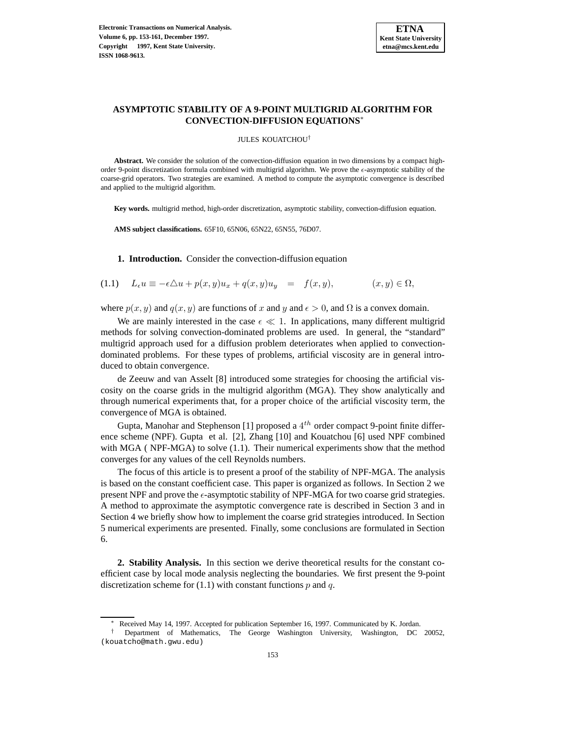

## **ASYMPTOTIC STABILITY OF A 9-POINT MULTIGRID ALGORITHM FOR CONVECTION-DIFFUSION EQUATIONS**<sup>∗</sup>

JULES KOUATCHOU†

**Abstract.** We consider the solution of the convection-diffusion equation in two dimensions by a compact highorder 9-point discretization formula combined with multigrid algorithm. We prove the  $\epsilon$ -asymptotic stability of the coarse-grid operators. Two strategies are examined. A method to compute the asymptotic convergence is described and applied to the multigrid algorithm.

**Key words.** multigrid method, high-order discretization, asymptotic stability, convection-diffusion equation.

**AMS subject classifications.** 65F10, 65N06, 65N22, 65N55, 76D07.

**1. Introduction.** Consider the convection-diffusion equation

$$
(1.1) \quad L_{\epsilon}u \equiv -\epsilon \triangle u + p(x,y)u_x + q(x,y)u_y = f(x,y), \qquad (x,y) \in \Omega,
$$

where  $p(x, y)$  and  $q(x, y)$  are functions of x and y and  $\epsilon > 0$ , and  $\Omega$  is a convex domain.

We are mainly interested in the case  $\epsilon \ll 1$ . In applications, many different multigrid methods for solving convection-dominated problems are used. In general, the "standard" multigrid approach used for a diffusion problem deteriorates when applied to convectiondominated problems. For these types of problems, artificial viscosity are in general introduced to obtain convergence.

de Zeeuw and van Asselt [8] introduced some strategies for choosing the artificial viscosity on the coarse grids in the multigrid algorithm (MGA). They show analytically and through numerical experiments that, for a proper choice of the artificial viscosity term, the convergence of MGA is obtained.

Gupta, Manohar and Stephenson [1] proposed a  $4^{th}$  order compact 9-point finite difference scheme (NPF). Gupta et al. [2], Zhang [10] and Kouatchou [6] used NPF combined with MGA ( NPF-MGA) to solve (1.1). Their numerical experiments show that the method converges for any values of the cell Reynolds numbers.

The focus of this article is to present a proof of the stability of NPF-MGA. The analysis is based on the constant coefficient case. This paper is organized as follows. In Section 2 we present NPF and prove the  $\epsilon$ -asymptotic stability of NPF-MGA for two coarse grid strategies. A method to approximate the asymptotic convergence rate is described in Section 3 and in Section 4 we briefly show how to implement the coarse grid strategies introduced. In Section 5 numerical experiments are presented. Finally, some conclusions are formulated in Section 6.

**2. Stability Analysis.** In this section we derive theoretical results for the constant coefficient case by local mode analysis neglecting the boundaries. We first present the 9-point discretization scheme for  $(1.1)$  with constant functions p and q.

Received May 14, 1997. Accepted for publication September 16, 1997. Communicated by K. Jordan.

<sup>†</sup> Department of Mathematics, The George Washington University, Washington, DC 20052, (kouatcho@math.gwu.edu)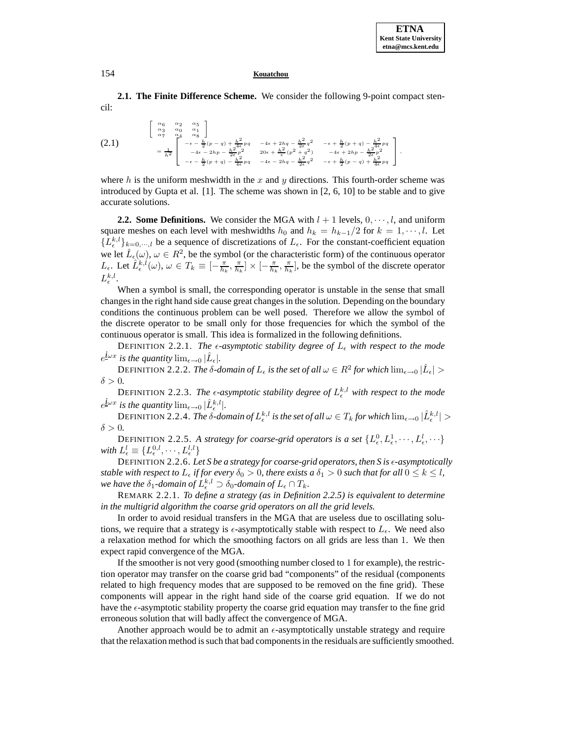**2.1. The Finite Difference Scheme.** We consider the following 9-point compact stencil:

$$
(2.1)
$$
\n
$$
\begin{bmatrix}\n\alpha_6 & \alpha_2 & \alpha_5 \\
\alpha_3 & \alpha_0 & \alpha_1 \\
\alpha_7 & \alpha_4 & \alpha_8\n\end{bmatrix}
$$
\n
$$
= \frac{1}{h^2} \begin{bmatrix}\n-\epsilon - \frac{h}{2}(p-q) + \frac{h^2}{4\epsilon}pq & -4\epsilon + 2hq - \frac{h^2}{2\epsilon}q^2 & -\epsilon + \frac{h}{2}(p+q) - \frac{h^2}{4\epsilon}pq \\
-4\epsilon - 2hp - \frac{h^2}{2\epsilon}p^2 & 20\epsilon + \frac{h^2}{\epsilon}(p^2 + q^2) & -4\epsilon + 2hp - \frac{h^2}{2\epsilon}p^2 \\
-\epsilon - \frac{h}{2}(p+q) - \frac{h^2}{4\epsilon}pq & -4\epsilon - 2hq - \frac{h^2}{2\epsilon}q^2 & -\epsilon + \frac{h}{2}(p-q) + \frac{h^2}{4\epsilon}pq\n\end{bmatrix},
$$

where h is the uniform meshwidth in the x and y directions. This fourth-order scheme was introduced by Gupta et al. [1]. The scheme was shown in [2, 6, 10] to be stable and to give accurate solutions.

**2.2. Some Definitions.** We consider the MGA with  $l + 1$  levels,  $0, \dots, l$ , and uniform square meshes on each level with meshwidths  $h_0$  and  $h_k = h_{k-1}/2$  for  $k = 1, \dots, l$ . Let  ${L_{\epsilon}^{k,l}}_{\epsilon}$ <sub>k=0,…,l</sub> be a sequence of discretizations of  $L_{\epsilon}$ . For the constant-coefficient equation we let  $\hat{L}_{\epsilon}(\omega), \omega \in R^2$ , be the symbol (or the characteristic form) of the continuous operator  $L_{\epsilon}$ . Let  $\hat{L}_{\epsilon}^{k,l}(\omega), \omega \in T_{k} \equiv [-\frac{\pi}{h_{k}}, \frac{\pi}{h_{k}}] \times [-\frac{\pi}{h_{k}}, \frac{\pi}{h_{k}}]$ , be the symbol of the discrete operator  $L_{\epsilon}^{k,l}.$ 

When a symbol is small, the corresponding operator is unstable in the sense that small changes in the right hand side cause great changes in the solution. Depending on the boundary conditions the continuous problem can be well posed. Therefore we allow the symbol of the discrete operator to be small only for those frequencies for which the symbol of the continuous operator is small. This idea is formalized in the following definitions.

DEFINITION 2.2.1. *The*  $\epsilon$ *-asymptotic stability degree of*  $L_{\epsilon}$  with respect to the mode  $e^{i\omega x}$  *is the quantity*  $\lim_{\epsilon \to 0} |\tilde{L}_{\epsilon}|$ *.* 

DEFINITION 2.2.2. *The*  $\delta$ -domain of  $L_{\epsilon}$  is the set of all  $\omega \in R^2$  for which  $\lim_{\epsilon \to 0} |\hat{L}_{\epsilon}| >$  $\delta > 0$ .

DEFINITION 2.2.3. The  $\epsilon$ -asymptotic stability degree of  $L_{\epsilon}^{k,l}$  with respect to the mode  $e^{\hat{\mathbf{i}} \omega x}$  *is the quantity*  $\lim_{\epsilon \to 0} |\hat{L}^{k,l}_{\epsilon}|.$ 

 $\text{DEFINITION 2.2.4.}$  *The*  $\delta$ -domain of  $L_{\epsilon}^{k,l}$  is the set of all  $\omega \in T_k$  for which  $\lim_{\epsilon \to 0} |\hat{L}_{\epsilon}^{k,l}| >$  $\delta > 0$ .

DEFINITION 2.2.5. A strategy for coarse-grid operators is a set  $\{L_{\epsilon}^0, L_{\epsilon}^1, \cdots, L_{\epsilon}^l, \cdots\}$ with  $L_{\epsilon}^{l} \equiv \{L_{\epsilon}^{0,l},\cdots,L_{\epsilon}^{l,l}\}$ 

DEFINITION 2.2.6. Let S be a strategy for coarse-grid operators, then S is  $\epsilon$ -asymptotically *stable with respect to*  $L_{\epsilon}$  *if for every*  $\delta_0 > 0$ *, there exists a*  $\delta_1 > 0$  *such that for all*  $0 \le k \le l$ *,* we have the  $\delta_1$ -domain of  $L_{\epsilon}^{k,l} \supset \delta_0$ -domain of  $L_{\epsilon} \cap T_k$ .

REMARK 2.2.1. *To define a strategy (as in Definition 2.2.5) is equivalent to determine in the multigrid algorithm the coarse grid operators on all the grid levels.*

In order to avoid residual transfers in the MGA that are useless due to oscillating solutions, we require that a strategy is  $\epsilon$ -asymptotically stable with respect to  $L_{\epsilon}$ . We need also a relaxation method for which the smoothing factors on all grids are less than 1. We then expect rapid convergence of the MGA.

If the smoother is not very good (smoothing number closed to 1 for example), the restriction operator may transfer on the coarse grid bad "components" of the residual (components related to high frequency modes that are supposed to be removed on the fine grid). These components will appear in the right hand side of the coarse grid equation. If we do not have the  $\epsilon$ -asymptotic stability property the coarse grid equation may transfer to the fine grid erroneous solution that will badly affect the convergence of MGA.

Another approach would be to admit an  $\epsilon$ -asymptotically unstable strategy and require that the relaxation method is such that bad components in the residuals are sufficiently smoothed.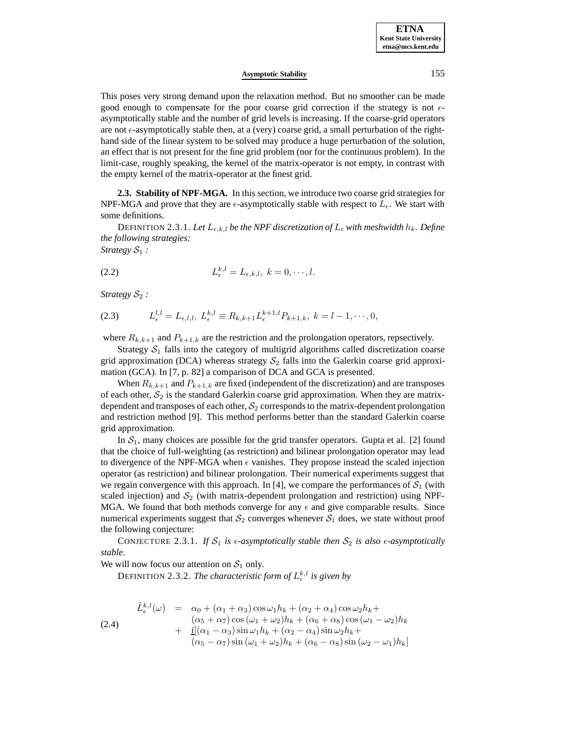This poses very strong demand upon the relaxation method. But no smoother can be made good enough to compensate for the poor coarse grid correction if the strategy is not  $\epsilon$ asymptotically stable and the number of grid levels is increasing. If the coarse-grid operators are not  $\epsilon$ -asymptotically stable then, at a (very) coarse grid, a small perturbation of the righthand side of the linear system to be solved may produce a huge perturbation of the solution, an effect that is not present for the fine grid problem (nor for the continuous problem). In the limit-case, roughly speaking, the kernel of the matrix-operator is not empty, in contrast with the empty kernel of the matrix-operator at the finest grid.

**2.3. Stability of NPF-MGA.** In this section, we introduce two coarse grid strategies for NPF-MGA and prove that they are  $\epsilon$ -asymptotically stable with respect to  $L_{\epsilon}$ . We start with some definitions.

DEFINITION 2.3.1. Let  $L_{\epsilon,k,l}$  be the NPF discretization of  $L_{\epsilon}$  with meshwidth  $h_k$ . Define *the following strategies:*

*Strategy*  $S_1$  *:* 

$$
(2.2) \tL_{\epsilon}^{k,l} = L_{\epsilon,k,l}, \ k = 0, \cdots, l.
$$

*Strategy*  $S_2$  *:* 

(2.3) 
$$
L_{\epsilon}^{l,l} = L_{\epsilon,l,l}, \ L_{\epsilon}^{k,l} \equiv R_{k,k+1} L_{\epsilon}^{k+1,l} P_{k+1,k}, \ k = l-1, \cdots, 0,
$$

where  $R_{k,k+1}$  and  $P_{k+1,k}$  are the restriction and the prolongation operators, repsectively.

Strategy  $S_1$  falls into the category of multigrid algorithms called discretization coarse grid approximation (DCA) whereas strategy  $S_2$  falls into the Galerkin coarse grid approximation (GCA). In [7, p. 82] a comparison of DCA and GCA is presented.

When  $R_{k,k+1}$  and  $P_{k+1,k}$  are fixed (independent of the discretization) and are transposes of each other,  $S_2$  is the standard Galerkin coarse grid approximation. When they are matrixdependent and transposes of each other,  $S_2$  corresponds to the matrix-dependent prolongation and restriction method [9]. This method performs better than the standard Galerkin coarse grid approximation.

In  $S_1$ , many choices are possible for the grid transfer operators. Gupta et al. [2] found that the choice of full-weighting (as restriction) and bilinear prolongation operator may lead to divergence of the NPF-MGA when  $\epsilon$  vanishes. They propose instead the scaled injection operator (as restriction) and bilinear prolongation. Their numerical experiments suggest that we regain convergence with this approach. In [4], we compare the performances of  $S_1$  (with scaled injection) and  $S_2$  (with matrix-dependent prolongation and restriction) using NPF-MGA. We found that both methods converge for any  $\epsilon$  and give comparable results. Since numerical experiments suggest that  $S_2$  converges whenever  $S_1$  does, we state without proof the following conjecture:

CONJECTURE 2.3.1. If  $S_1$  is  $\epsilon$ -asymptotically stable then  $S_2$  is also  $\epsilon$ -asymptotically *stable.*

We will now focus our attention on  $S_1$  only.

DEFINITION 2.3.2. *The characteristic form of*  $L_{\epsilon}^{k,l}$  *is given by* 

$$
\hat{L}_{\epsilon}^{k,l}(\omega) = \alpha_0 + (\alpha_1 + \alpha_3) \cos \omega_1 h_k + (\alpha_2 + \alpha_4) \cos \omega_2 h_k +
$$
\n
$$
(\alpha_5 + \alpha_7) \cos (\omega_1 + \omega_2) h_k + (\alpha_6 + \alpha_8) \cos (\omega_1 - \omega_2) h_k +
$$
\n
$$
+ \frac{i[(\alpha_1 - \alpha_3) \sin \omega_1 h_k + (\alpha_2 - \alpha_4) \sin \omega_2 h_k + (\alpha_5 - \alpha_7) \sin (\omega_1 + \omega_2) h_k + (\alpha_6 - \alpha_8) \sin (\omega_2 - \omega_1) h_k]}
$$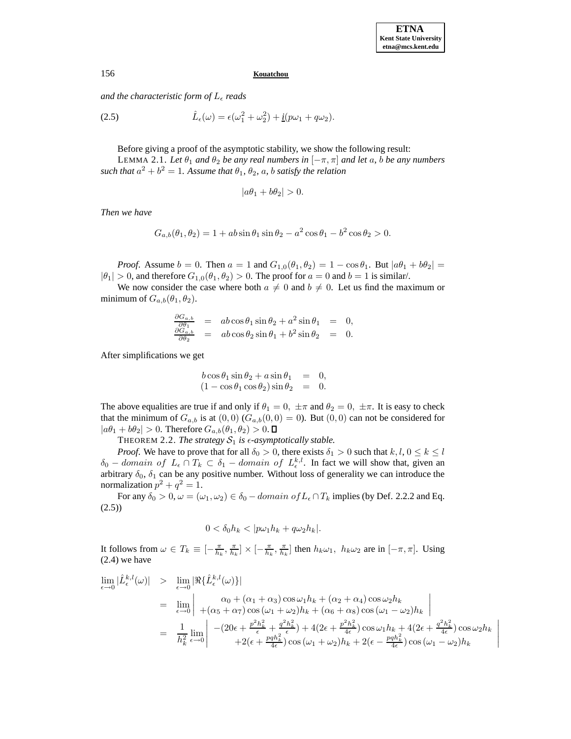*and the characteristic form of*  $L_{\epsilon}$  *reads* 

(2.5) 
$$
\hat{L}_{\epsilon}(\omega) = \epsilon(\omega_1^2 + \omega_2^2) + \underline{i}(p\omega_1 + q\omega_2).
$$

Before giving a proof of the asymptotic stability, we show the following result:

LEMMA 2.1. Let  $\theta_1$  *and*  $\theta_2$  *be any real numbers in*  $[-\pi, \pi]$  *and let a, b be any numbers such that*  $a^2 + b^2 = 1$ *. Assume that*  $\theta_1$ *,*  $\theta_2$ *, a, b satisfy the relation* 

$$
|a\theta_1 + b\theta_2| > 0.
$$

*Then we have*

$$
G_{a,b}(\theta_1, \theta_2) = 1 + ab \sin \theta_1 \sin \theta_2 - a^2 \cos \theta_1 - b^2 \cos \theta_2 > 0.
$$

*Proof.* Assume  $b = 0$ . Then  $a = 1$  and  $G_{1,0}(\theta_1, \theta_2) = 1 - \cos \theta_1$ . But  $|a\theta_1 + b\theta_2|$  $|\theta_1| > 0$ , and therefore  $G_{1,0}(\theta_1, \theta_2) > 0$ . The proof for  $a = 0$  and  $b = 1$  is similar/.

We now consider the case where both  $a \neq 0$  and  $b \neq 0$ . Let us find the maximum or minimum of  $G_{a,b}(\theta_1,\theta_2)$ .

$$
\frac{\partial G_{a,b}}{\partial \theta_1} = ab \cos \theta_1 \sin \theta_2 + a^2 \sin \theta_1 = 0,\n\frac{\partial G_{a,b}}{\partial \theta_2} = ab \cos \theta_2 \sin \theta_1 + b^2 \sin \theta_2 = 0.
$$

After simplifications we get

$$
b \cos \theta_1 \sin \theta_2 + a \sin \theta_1 = 0,
$$
  

$$
(1 - \cos \theta_1 \cos \theta_2) \sin \theta_2 = 0.
$$

The above equalities are true if and only if  $\theta_1 = 0$ ,  $\pm \pi$  and  $\theta_2 = 0$ ,  $\pm \pi$ . It is easy to check that the minimum of  $G_{a,b}$  is at  $(0,0)$   $(G_{a,b}(0,0) = 0)$ . But  $(0,0)$  can not be considered for  $|a\theta_1 + b\theta_2| > 0$ . Therefore  $G_{a,b}(\theta_1, \theta_2) > 0$ .  $\square$ 

THEOREM 2.2. *The strategy*  $S_1$  *is*  $\epsilon$ *-asymptotically stable.* 

*Proof.* We have to prove that for all  $\delta_0 > 0$ , there exists  $\delta_1 > 0$  such that  $k, l, 0 \le k \le l$  $\delta_0$  – domain of  $L_{\epsilon} \cap T_k \subset \delta_1$  – domain of  $L_{\epsilon}^{k,l}$ . In fact we will show that, given an arbitrary  $\delta_0$ ,  $\delta_1$  can be any positive number. Without loss of generality we can introduce the normalization  $p^2 + q^2 = 1$ .

For any  $\delta_0 > 0$ ,  $\omega = (\omega_1, \omega_2) \in \delta_0 - domain \ of \ L_{\epsilon} \cap T_k$  implies (by Def. 2.2.2 and Eq. (2.5))

$$
0 < \delta_0 h_k < |p\omega_1 h_k + q\omega_2 h_k|.
$$

It follows from  $\omega \in T_k \equiv [-\frac{\pi}{h_k}, \frac{\pi}{h_k}] \times [-\frac{\pi}{h_k}, \frac{\pi}{h_k}]$  then  $h_k \omega_1$ ,  $h_k \omega_2$  are in  $[-\pi, \pi]$ . Using (2.4) we have

$$
\lim_{\epsilon \to 0} |\hat{L}_{\epsilon}^{k,l}(\omega)| > \lim_{\epsilon \to 0} |\Re{\hat{L}_{\epsilon}^{k,l}(\omega)}\}|
$$
\n
$$
= \lim_{\epsilon \to 0} \left| \frac{\alpha_0 + (\alpha_1 + \alpha_3) \cos \omega_1 h_k + (\alpha_2 + \alpha_4) \cos \omega_2 h_k}{+(\alpha_5 + \alpha_7) \cos (\omega_1 + \omega_2) h_k + (\alpha_6 + \alpha_8) \cos (\omega_1 - \omega_2) h_k} \right|
$$
\n
$$
= \frac{1}{h_k^2} \lim_{\epsilon \to 0} \left| \frac{-(20\epsilon + \frac{p^2 h_k^2}{\epsilon} + \frac{q^2 h_k^2}{\epsilon}) + 4(2\epsilon + \frac{p^2 h_k^2}{4\epsilon}) \cos \omega_1 h_k + 4(2\epsilon + \frac{q^2 h_k^2}{4\epsilon}) \cos \omega_2 h_k + 2(\epsilon - \frac{p q h_k^2}{4\epsilon}) \cos (\omega_1 - \omega_2) h_k} \right|
$$

 $\overline{\phantom{a}}$  $\overline{\phantom{a}}$  $\overline{\phantom{a}}$  $\overline{\phantom{a}}$  $\overline{\phantom{a}}$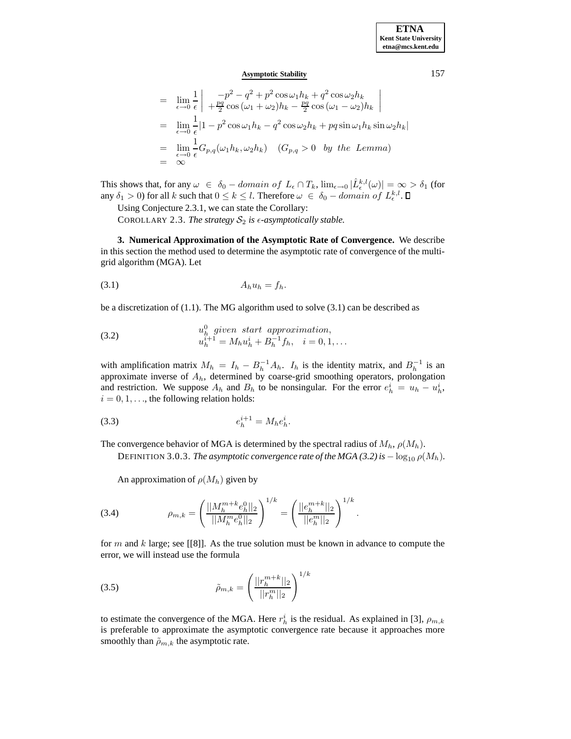$$
= \lim_{\epsilon \to 0} \frac{1}{\epsilon} \left| \frac{-p^2 - q^2 + p^2 \cos \omega_1 h_k + q^2 \cos \omega_2 h_k}{+ \frac{pq}{2} \cos (\omega_1 + \omega_2) h_k - \frac{pq}{2} \cos (\omega_1 - \omega_2) h_k} \right|
$$
  
\n
$$
= \lim_{\epsilon \to 0} \frac{1}{\epsilon} |1 - p^2 \cos \omega_1 h_k - q^2 \cos \omega_2 h_k + pq \sin \omega_1 h_k \sin \omega_2 h_k|
$$
  
\n
$$
= \lim_{\epsilon \to 0} \frac{1}{\epsilon} G_{p,q}(\omega_1 h_k, \omega_2 h_k) \quad (G_{p,q} > 0 \text{ by the Lemma})
$$
  
\n
$$
= \infty
$$

This shows that, for any  $\omega \in \delta_0 - domain \ of \ L_{\epsilon} \cap T_k$ ,  $\lim_{\epsilon \to 0} |\hat{L}_{\epsilon}^{k,l}(\omega)| = \infty > \delta_1$  (for any  $\delta_1 > 0$ ) for all k such that  $0 \le k \le l$ . Therefore  $\omega \in \delta_0 - domain \text{ of } L_{\epsilon}^{k,l}$ .

Using Conjecture 2.3.1, we can state the Corollary:

COROLLARY 2.3. *The strategy*  $S_2$  *is*  $\epsilon$ *-asymptotically stable.* 

**3. Numerical Approximation of the Asymptotic Rate of Convergence.** We describe in this section the method used to determine the asymptotic rate of convergence of the multigrid algorithm (MGA). Let

$$
(3.1) \t A_h u_h = f_h.
$$

be a discretization of (1.1). The MG algorithm used to solve (3.1) can be described as

(3.2) 
$$
u_h^0 \text{ given start approximation,} u_h^{i+1} = M_h u_h^i + B_h^{-1} f_h, \quad i = 0, 1, ...
$$

with amplification matrix  $M_h = I_h - B_h^{-1} A_h$ .  $I_h$  is the identity matrix, and  $B_h^{-1}$  is an approximate inverse of  $A_h$ , determined by coarse-grid smoothing operators, prolongation and restriction. We suppose  $A_h$  and  $B_h$  to be nonsingular. For the error  $e_h^i = u_h - u_h^i$ ,  $i = 0, 1, \ldots$ , the following relation holds:

(3.3) 
$$
e_h^{i+1} = M_h e_h^i.
$$

The convergence behavior of MGA is determined by the spectral radius of  $M_h$ ,  $\rho(M_h)$ .

DEFINITION 3.0.3. *The asymptotic convergence rate of the MGA* (3.2) is  $-\log_{10}\rho(M_h)$ .

An approximation of  $\rho(M_h)$  given by

(3.4) 
$$
\rho_{m,k} = \left(\frac{||M_h^{m+k}e_h^0||_2}{||M_h^me_h^0||_2}\right)^{1/k} = \left(\frac{||e_h^{m+k}||_2}{||e_h^m||_2}\right)^{1/k}.
$$

for m and k large; see [[8]]. As the true solution must be known in advance to compute the error, we will instead use the formula

(3.5) 
$$
\tilde{\rho}_{m,k} = \left(\frac{||r_h^{m+k}||_2}{||r_h^m||_2}\right)^{1/k}
$$

to estimate the convergence of the MGA. Here  $r_h^i$  is the residual. As explained in [3],  $\rho_{m,k}$ is preferable to approximate the asymptotic convergence rate because it approaches more smoothly than  $\tilde{\rho}_{m,k}$  the asymptotic rate.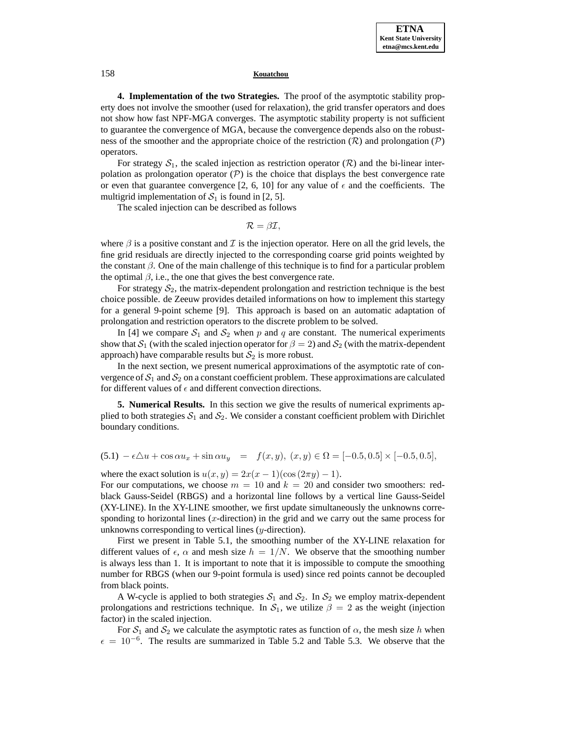**4. Implementation of the two Strategies.** The proof of the asymptotic stability property does not involve the smoother (used for relaxation), the grid transfer operators and does not show how fast NPF-MGA converges. The asymptotic stability property is not sufficient to guarantee the convergence of MGA, because the convergence depends also on the robustness of the smoother and the appropriate choice of the restriction  $(R)$  and prolongation  $(P)$ operators.

For strategy  $S_1$ , the scaled injection as restriction operator ( $\mathcal R$ ) and the bi-linear interpolation as prolongation operator  $(\mathcal{P})$  is the choice that displays the best convergence rate or even that guarantee convergence [2, 6, 10] for any value of  $\epsilon$  and the coefficients. The multigrid implementation of  $S_1$  is found in [2, 5].

The scaled injection can be described as follows

 $\mathcal{R} = \beta \mathcal{I},$ 

where  $\beta$  is a positive constant and  $\mathcal I$  is the injection operator. Here on all the grid levels, the fine grid residuals are directly injected to the corresponding coarse grid points weighted by the constant  $\beta$ . One of the main challenge of this technique is to find for a particular problem the optimal  $\beta$ , i.e., the one that gives the best convergence rate.

For strategy  $S_2$ , the matrix-dependent prolongation and restriction technique is the best choice possible. de Zeeuw provides detailed informations on how to implement this startegy for a general 9-point scheme [9]. This approach is based on an automatic adaptation of prolongation and restriction operators to the discrete problem to be solved.

In [4] we compare  $S_1$  and  $S_2$  when p and q are constant. The numerical experiments show that  $S_1$  (with the scaled injection operator for  $\beta = 2$ ) and  $S_2$  (with the matrix-dependent approach) have comparable results but  $S_2$  is more robust.

In the next section, we present numerical approximations of the asymptotic rate of convergence of  $S_1$  and  $S_2$  on a constant coefficient problem. These approximations are calculated for different values of  $\epsilon$  and different convection directions.

**5. Numerical Results.** In this section we give the results of numerical expriments applied to both strategies  $S_1$  and  $S_2$ . We consider a constant coefficient problem with Dirichlet boundary conditions.

 $(5.1) - \epsilon \Delta u + \cos \alpha u_x + \sin \alpha u_y = f(x, y), (x, y) \in \Omega = [-0.5, 0.5] \times [-0.5, 0.5],$ 

where the exact solution is  $u(x,y)=2x(x-1)(\cos(2\pi y)-1)$ .

For our computations, we choose  $m = 10$  and  $k = 20$  and consider two smoothers: redblack Gauss-Seidel (RBGS) and a horizontal line follows by a vertical line Gauss-Seidel (XY-LINE). In the XY-LINE smoother, we first update simultaneously the unknowns corresponding to horizontal lines  $(x$ -direction) in the grid and we carry out the same process for unknowns corresponding to vertical lines (y-direction).

First we present in Table 5.1, the smoothing number of the XY-LINE relaxation for different values of  $\epsilon$ ,  $\alpha$  and mesh size  $h = 1/N$ . We observe that the smoothing number is always less than 1. It is important to note that it is impossible to compute the smoothing number for RBGS (when our 9-point formula is used) since red points cannot be decoupled from black points.

A W-cycle is applied to both strategies  $S_1$  and  $S_2$ . In  $S_2$  we employ matrix-dependent prolongations and restrictions technique. In  $S_1$ , we utilize  $\beta = 2$  as the weight (injection factor) in the scaled injection.

For  $S_1$  and  $S_2$  we calculate the asymptotic rates as function of  $\alpha$ , the mesh size h when  $\epsilon = 10^{-6}$ . The results are summarized in Table 5.2 and Table 5.3. We observe that the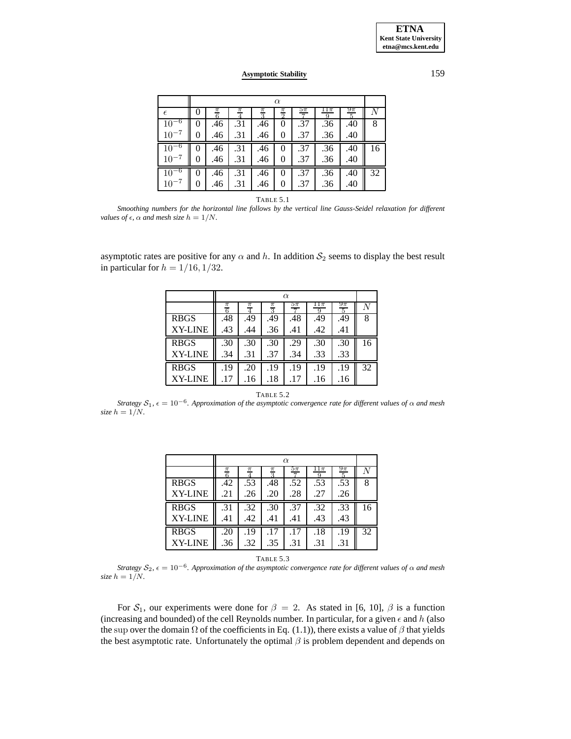|            | $\alpha$ |        |     |                 |                 |        |     |                          |    |
|------------|----------|--------|-----|-----------------|-----------------|--------|-----|--------------------------|----|
| $\epsilon$ |          | π<br>6 |     | $\frac{\pi}{3}$ | $\frac{\pi}{2}$ | $5\pi$ | 11π | $9\pi$<br>$\overline{5}$ |    |
|            |          | .46    | .31 | .46             |                 | .37    | .36 | .40                      | 8  |
| $10^{-7}$  | 0        | .46    | .31 | .46             | 0               | .37    | .36 | .40                      |    |
|            |          | .46    | .31 | .46             |                 | .37    | .36 | .40                      | 16 |
| $10^{-7}$  |          | .46    | .31 | .46             | 0               | .37    | .36 | .40                      |    |
|            | 0        | .46    | .31 | .46             | 0               | .37    | .36 | .40                      | 32 |
|            |          | .46    | .31 | .46             |                 | .37    | .36 | .40                      |    |

TABLE 5.1

*Smoothing numbers for the horizontal line follows by the vertical line Gauss-Seidel relaxation for different values of*  $\epsilon$ ,  $\alpha$  *and mesh size*  $h = 1/N$ .

asymptotic rates are positive for any  $\alpha$  and h. In addition  $S_2$  seems to display the best result in particular for  $h = 1/16, 1/32$ .

|                | $\alpha$        |       |                 |        |          |             |    |
|----------------|-----------------|-------|-----------------|--------|----------|-------------|----|
|                | $\frac{\pi}{6}$ | $\pi$ | $\frac{\pi}{3}$ | $5\pi$ | ι⊥π<br>Q | $9\pi$<br>5 | ΛT |
| <b>RBGS</b>    | .48             | .49   | .49             | .48    | .49      | .49         | 8  |
| <b>XY-LINE</b> | .43             | .44   | .36             | .41    | .42      | .41         |    |
| <b>RBGS</b>    | .30             | .30   | .30             | .29    | .30      | .30         | 16 |
| <b>XY-LINE</b> | .34             | .31   | .37             | .34    | .33      | .33         |    |
| <b>RBGS</b>    | .19             | .20   | .19             | .19    | .19      | .19         | 32 |
| <b>XY-LINE</b> | .17             | .16   | .18             | .17    | .16      | .16         |    |

### TABLE 5.2

*Strategy*  $S_1$ ,  $\epsilon = 10^{-6}$ *. Approximation of the asymptotic convergence rate for different values of*  $\alpha$  *and mesh size*  $h = 1/N$ .

|                | $\alpha$   |     |                                   |        |     |     |    |
|----------------|------------|-----|-----------------------------------|--------|-----|-----|----|
|                | $\pi$<br>6 | π   | $\frac{\pi}{2}$<br>$\overline{2}$ | $5\pi$ | LΙπ | 9π  |    |
| <b>RBGS</b>    | .42        | .53 | .48                               | .52    | .53 | .53 | 8  |
| <b>XY-LINE</b> | .21        | .26 | .20                               | .28    | .27 | .26 |    |
| <b>RBGS</b>    | .31        | .32 | .30                               | .37    | .32 | .33 | 16 |
| <b>XY-LINE</b> | .41        | .42 | .41                               | .41    | .43 | .43 |    |
| <b>RBGS</b>    | .20        | .19 | .17                               | .17    | .18 | .19 | 32 |
| <b>XY-LINE</b> | .36        | .32 | .35                               | .31    | .31 | .31 |    |

| ı<br>۰. |         |  |
|---------|---------|--|
|         | ۰,<br>× |  |

*Strategy*  $S_2$ ,  $\epsilon = 10^{-6}$ *. Approximation of the asymptotic convergence rate for different values of*  $\alpha$  *and mesh size*  $h = 1/N$ .

For  $S_1$ , our experiments were done for  $\beta = 2$ . As stated in [6, 10],  $\beta$  is a function (increasing and bounded) of the cell Reynolds number. In particular, for a given  $\epsilon$  and  $h$  (also the sup over the domain  $\Omega$  of the coefficients in Eq. (1.1)), there exists a value of  $\beta$  that yields the best asymptotic rate. Unfortunately the optimal  $\beta$  is problem dependent and depends on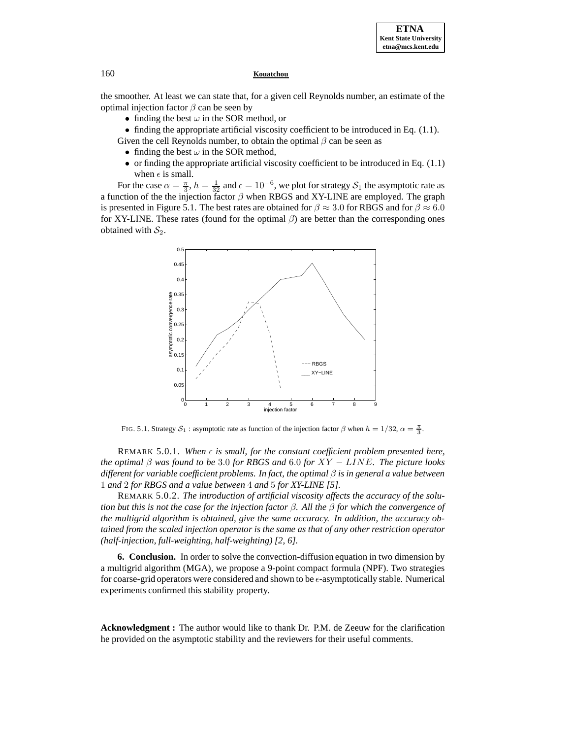the smoother. At least we can state that, for a given cell Reynolds number, an estimate of the optimal injection factor  $\beta$  can be seen by

- finding the best  $\omega$  in the SOR method, or
- finding the appropriate artificial viscosity coefficient to be introduced in Eq.  $(1.1)$ .

Given the cell Reynolds number, to obtain the optimal  $\beta$  can be seen as

- finding the best  $\omega$  in the SOR method,
- or finding the appropriate artificial viscosity coefficient to be introduced in Eq. (1.1) when  $\epsilon$  is small.

For the case  $\alpha = \frac{\pi}{3}$ ,  $h = \frac{1}{32}$  and  $\epsilon = 10^{-6}$ , we plot for strategy  $S_1$  the asymptotic rate as a function of the the injection factor  $\beta$  when RBGS and XY-LINE are employed. The graph is presented in Figure 5.1. The best rates are obtained for  $\beta \approx 3.0$  for RBGS and for  $\beta \approx 6.0$ for XY-LINE. These rates (found for the optimal  $\beta$ ) are better than the corresponding ones obtained with  $S_2$ .



FIG. 5.1. Strategy  $S_1$ : asymptotic rate as function of the injection factor  $\beta$  when  $h = 1/32$ ,  $\alpha = \frac{\pi}{3}$ .

REMARK  $5.0.1$ *. When*  $\epsilon$  is small, for the constant coefficient problem presented here, *the optimal* β *was found to be* 3.0 *for RBGS and* 6.0 *for* XY − LINE*. The picture looks different for variable coefficient problems. In fact, the optimal* β *is in general a value between* 1 *and* 2 *for RBGS and a value between* 4 *and* 5 *for XY-LINE [5].*

REMARK 5.0.2. *The introduction of artificial viscosity affects the accuracy of the solution but this is not the case for the injection factor* β*. All the* β *for which the convergence of the multigrid algorithm is obtained, give the same accuracy. In addition, the accuracy obtained from the scaled injection operator is the same as that of any other restriction operator (half-injection, full-weighting, half-weighting) [2, 6].*

**6. Conclusion.** In order to solve the convection-diffusion equation in two dimension by a multigrid algorithm (MGA), we propose a 9-point compact formula (NPF). Two strategies for coarse-grid operators were considered and shown to be  $\epsilon$ -asymptotically stable. Numerical experiments confirmed this stability property.

**Acknowledgment :** The author would like to thank Dr. P.M. de Zeeuw for the clarification he provided on the asymptotic stability and the reviewers for their useful comments.